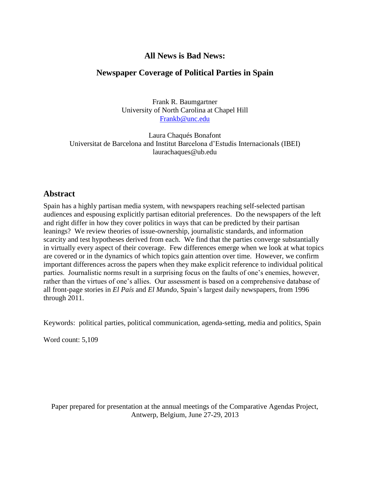# **All News is Bad News:**

# **Newspaper Coverage of Political Parties in Spain**

Frank R. Baumgartner University of North Carolina at Chapel Hill [Frankb@unc.edu](mailto:Frankb@unc.edu)

Laura Chaqués Bonafont Universitat de Barcelona and Institut Barcelona d'Estudis Internacionals (IBEI) laurachaques@ub.edu

# **Abstract**

Spain has a highly partisan media system, with newspapers reaching self-selected partisan audiences and espousing explicitly partisan editorial preferences. Do the newspapers of the left and right differ in how they cover politics in ways that can be predicted by their partisan leanings? We review theories of issue-ownership, journalistic standards, and information scarcity and test hypotheses derived from each. We find that the parties converge substantially in virtually every aspect of their coverage. Few differences emerge when we look at what topics are covered or in the dynamics of which topics gain attention over time. However, we confirm important differences across the papers when they make explicit reference to individual political parties. Journalistic norms result in a surprising focus on the faults of one's enemies, however, rather than the virtues of one's allies. Our assessment is based on a comprehensive database of all front-page stories in *El País* and *El Mundo*, Spain's largest daily newspapers, from 1996 through 2011.

Keywords: political parties, political communication, agenda-setting, media and politics, Spain

Word count: 5,109

Paper prepared for presentation at the annual meetings of the Comparative Agendas Project, Antwerp, Belgium, June 27-29, 2013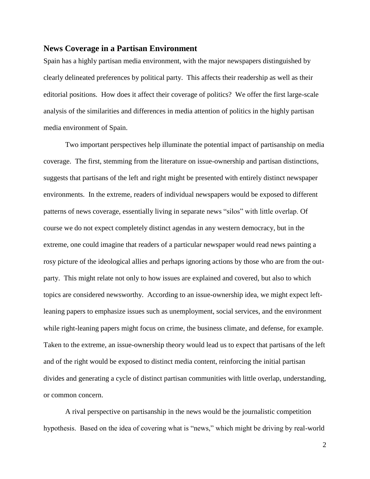### **News Coverage in a Partisan Environment**

Spain has a highly partisan media environment, with the major newspapers distinguished by clearly delineated preferences by political party. This affects their readership as well as their editorial positions. How does it affect their coverage of politics? We offer the first large-scale analysis of the similarities and differences in media attention of politics in the highly partisan media environment of Spain.

Two important perspectives help illuminate the potential impact of partisanship on media coverage. The first, stemming from the literature on issue-ownership and partisan distinctions, suggests that partisans of the left and right might be presented with entirely distinct newspaper environments. In the extreme, readers of individual newspapers would be exposed to different patterns of news coverage, essentially living in separate news "silos" with little overlap. Of course we do not expect completely distinct agendas in any western democracy, but in the extreme, one could imagine that readers of a particular newspaper would read news painting a rosy picture of the ideological allies and perhaps ignoring actions by those who are from the outparty. This might relate not only to how issues are explained and covered, but also to which topics are considered newsworthy. According to an issue-ownership idea, we might expect leftleaning papers to emphasize issues such as unemployment, social services, and the environment while right-leaning papers might focus on crime, the business climate, and defense, for example. Taken to the extreme, an issue-ownership theory would lead us to expect that partisans of the left and of the right would be exposed to distinct media content, reinforcing the initial partisan divides and generating a cycle of distinct partisan communities with little overlap, understanding, or common concern.

A rival perspective on partisanship in the news would be the journalistic competition hypothesis. Based on the idea of covering what is "news," which might be driving by real-world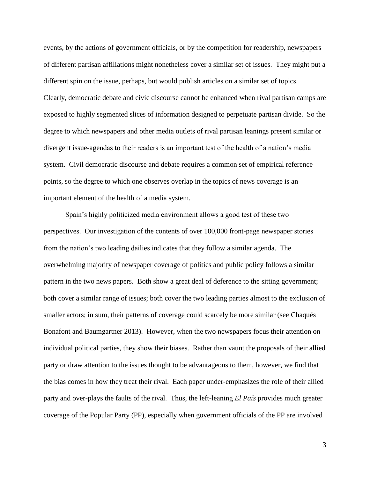events, by the actions of government officials, or by the competition for readership, newspapers of different partisan affiliations might nonetheless cover a similar set of issues. They might put a different spin on the issue, perhaps, but would publish articles on a similar set of topics. Clearly, democratic debate and civic discourse cannot be enhanced when rival partisan camps are exposed to highly segmented slices of information designed to perpetuate partisan divide. So the degree to which newspapers and other media outlets of rival partisan leanings present similar or divergent issue-agendas to their readers is an important test of the health of a nation's media system. Civil democratic discourse and debate requires a common set of empirical reference points, so the degree to which one observes overlap in the topics of news coverage is an important element of the health of a media system.

Spain's highly politicized media environment allows a good test of these two perspectives. Our investigation of the contents of over 100,000 front-page newspaper stories from the nation's two leading dailies indicates that they follow a similar agenda. The overwhelming majority of newspaper coverage of politics and public policy follows a similar pattern in the two news papers. Both show a great deal of deference to the sitting government; both cover a similar range of issues; both cover the two leading parties almost to the exclusion of smaller actors; in sum, their patterns of coverage could scarcely be more similar (see Chaqués Bonafont and Baumgartner 2013). However, when the two newspapers focus their attention on individual political parties, they show their biases. Rather than vaunt the proposals of their allied party or draw attention to the issues thought to be advantageous to them, however, we find that the bias comes in how they treat their rival. Each paper under-emphasizes the role of their allied party and over-plays the faults of the rival. Thus, the left-leaning *El País* provides much greater coverage of the Popular Party (PP), especially when government officials of the PP are involved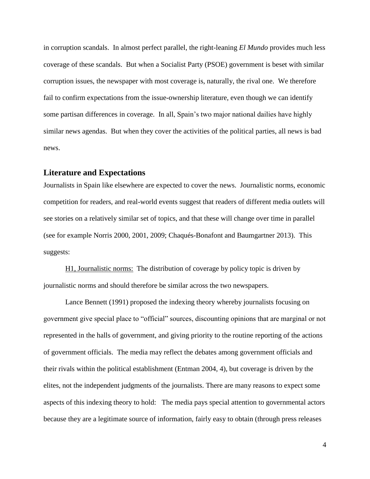in corruption scandals. In almost perfect parallel, the right-leaning *El Mundo* provides much less coverage of these scandals. But when a Socialist Party (PSOE) government is beset with similar corruption issues, the newspaper with most coverage is, naturally, the rival one. We therefore fail to confirm expectations from the issue-ownership literature, even though we can identify some partisan differences in coverage. In all, Spain's two major national dailies have highly similar news agendas. But when they cover the activities of the political parties, all news is bad news.

#### **Literature and Expectations**

Journalists in Spain like elsewhere are expected to cover the news. Journalistic norms, economic competition for readers, and real-world events suggest that readers of different media outlets will see stories on a relatively similar set of topics, and that these will change over time in parallel (see for example Norris 2000, 2001, 2009; Chaqués-Bonafont and Baumgartner 2013). This suggests:

H1, Journalistic norms: The distribution of coverage by policy topic is driven by journalistic norms and should therefore be similar across the two newspapers.

Lance Bennett (1991) proposed the indexing theory whereby journalists focusing on government give special place to "official" sources, discounting opinions that are marginal or not represented in the halls of government, and giving priority to the routine reporting of the actions of government officials. The media may reflect the debates among government officials and their rivals within the political establishment (Entman 2004, 4), but coverage is driven by the elites, not the independent judgments of the journalists. There are many reasons to expect some aspects of this indexing theory to hold: The media pays special attention to governmental actors because they are a legitimate source of information, fairly easy to obtain (through press releases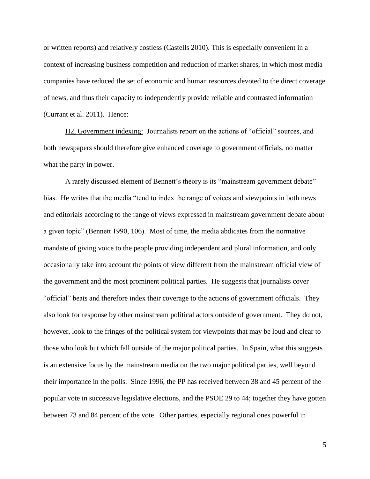or written reports) and relatively costless (Castells 2010). This is especially convenient in a context of increasing business competition and reduction of market shares, in which most media companies have reduced the set of economic and human resources devoted to the direct coverage of news, and thus their capacity to independently provide reliable and contrasted information (Currant et al. 2011). Hence:

H2, Government indexing: Journalists report on the actions of "official" sources, and both newspapers should therefore give enhanced coverage to government officials, no matter what the party in power.

A rarely discussed element of Bennett's theory is its "mainstream government debate" bias. He writes that the media "tend to index the range of voices and viewpoints in both news and editorials according to the range of views expressed in mainstream government debate about a given topic" (Bennett 1990, 106). Most of time, the media abdicates from the normative mandate of giving voice to the people providing independent and plural information, and only occasionally take into account the points of view different from the mainstream official view of the government and the most prominent political parties. He suggests that journalists cover "official" beats and therefore index their coverage to the actions of government officials. They also look for response by other mainstream political actors outside of government. They do not, however, look to the fringes of the political system for viewpoints that may be loud and clear to those who look but which fall outside of the major political parties. In Spain, what this suggests is an extensive focus by the mainstream media on the two major political parties, well beyond their importance in the polls. Since 1996, the PP has received between 38 and 45 percent of the popular vote in successive legislative elections, and the PSOE 29 to 44; together they have gotten between 73 and 84 percent of the vote. Other parties, especially regional ones powerful in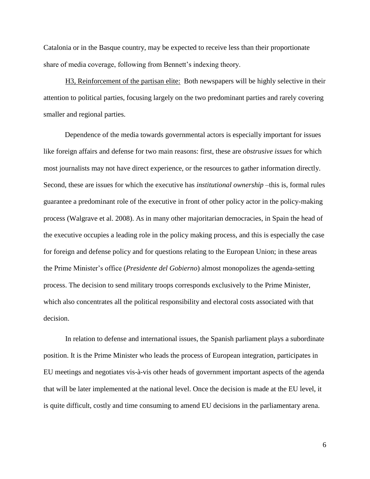Catalonia or in the Basque country, may be expected to receive less than their proportionate share of media coverage, following from Bennett's indexing theory.

H3, Reinforcement of the partisan elite: Both newspapers will be highly selective in their attention to political parties, focusing largely on the two predominant parties and rarely covering smaller and regional parties.

Dependence of the media towards governmental actors is especially important for issues like foreign affairs and defense for two main reasons: first, these are *obstrusive issues* for which most journalists may not have direct experience, or the resources to gather information directly. Second, these are issues for which the executive has *institutional ownership* –this is, formal rules guarantee a predominant role of the executive in front of other policy actor in the policy-making process (Walgrave et al. 2008). As in many other majoritarian democracies, in Spain the head of the executive occupies a leading role in the policy making process, and this is especially the case for foreign and defense policy and for questions relating to the European Union; in these areas the Prime Minister's office (*Presidente del Gobierno*) almost monopolizes the agenda-setting process. The decision to send military troops corresponds exclusively to the Prime Minister, which also concentrates all the political responsibility and electoral costs associated with that decision.

In relation to defense and international issues, the Spanish parliament plays a subordinate position. It is the Prime Minister who leads the process of European integration, participates in EU meetings and negotiates vis-à-vis other heads of government important aspects of the agenda that will be later implemented at the national level. Once the decision is made at the EU level, it is quite difficult, costly and time consuming to amend EU decisions in the parliamentary arena.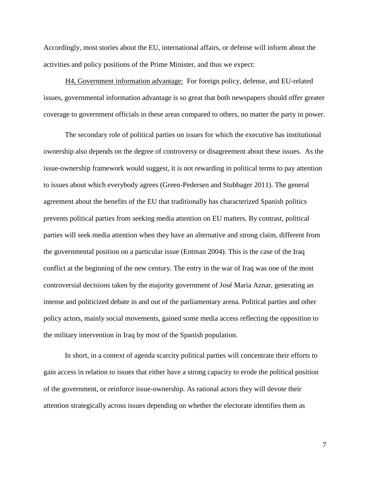Accordingly, most stories about the EU, international affairs, or defense will inform about the activities and policy positions of the Prime Minister, and thus we expect:

H4, Government information advantage: For foreign policy, defense, and EU-related issues, governmental information advantage is so great that both newspapers should offer greater coverage to government officials in these areas compared to others, no matter the party in power.

The secondary role of political parties on issues for which the executive has institutional ownership also depends on the degree of controversy or disagreement about these issues. As the issue-ownership framework would suggest, it is not rewarding in political terms to pay attention to issues about which everybody agrees (Green-Pedersen and Stubbager 2011). The general agreement about the benefits of the EU that traditionally has characterized Spanish politics prevents political parties from seeking media attention on EU matters. By contrast, political parties will seek media attention when they have an alternative and strong claim, different from the governmental position on a particular issue (Entman 2004). This is the case of the Iraq conflict at the beginning of the new century. The entry in the war of Iraq was one of the most controversial decisions taken by the majority government of José Maria Aznar, generating an intense and politicized debate in and out of the parliamentary arena. Political parties and other policy actors, mainly social movements, gained some media access reflecting the opposition to the military intervention in Iraq by most of the Spanish population.

In short, in a context of agenda scarcity political parties will concentrate their efforts to gain access in relation to issues that either have a strong capacity to erode the political position of the government, or reinforce issue-ownership. As rational actors they will devote their attention strategically across issues depending on whether the electorate identifies them as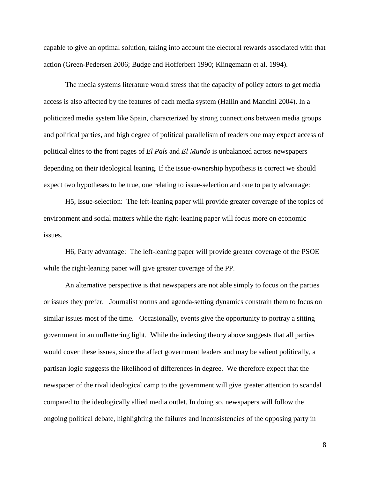capable to give an optimal solution, taking into account the electoral rewards associated with that action (Green-Pedersen 2006; Budge and Hofferbert 1990; Klingemann et al. 1994).

The media systems literature would stress that the capacity of policy actors to get media access is also affected by the features of each media system (Hallin and Mancini 2004). In a politicized media system like Spain, characterized by strong connections between media groups and political parties, and high degree of political parallelism of readers one may expect access of political elites to the front pages of *El País* and *El Mundo* is unbalanced across newspapers depending on their ideological leaning. If the issue-ownership hypothesis is correct we should expect two hypotheses to be true, one relating to issue-selection and one to party advantage:

H5, Issue-selection: The left-leaning paper will provide greater coverage of the topics of environment and social matters while the right-leaning paper will focus more on economic issues.

H6, Party advantage: The left-leaning paper will provide greater coverage of the PSOE while the right-leaning paper will give greater coverage of the PP.

An alternative perspective is that newspapers are not able simply to focus on the parties or issues they prefer. Journalist norms and agenda-setting dynamics constrain them to focus on similar issues most of the time. Occasionally, events give the opportunity to portray a sitting government in an unflattering light. While the indexing theory above suggests that all parties would cover these issues, since the affect government leaders and may be salient politically, a partisan logic suggests the likelihood of differences in degree. We therefore expect that the newspaper of the rival ideological camp to the government will give greater attention to scandal compared to the ideologically allied media outlet. In doing so, newspapers will follow the ongoing political debate, highlighting the failures and inconsistencies of the opposing party in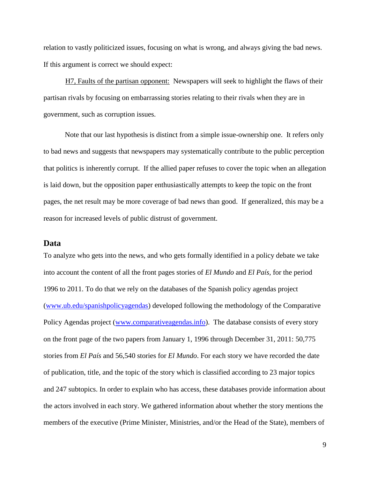relation to vastly politicized issues, focusing on what is wrong, and always giving the bad news. If this argument is correct we should expect:

H7, Faults of the partisan opponent: Newspapers will seek to highlight the flaws of their partisan rivals by focusing on embarrassing stories relating to their rivals when they are in government, such as corruption issues.

Note that our last hypothesis is distinct from a simple issue-ownership one. It refers only to bad news and suggests that newspapers may systematically contribute to the public perception that politics is inherently corrupt. If the allied paper refuses to cover the topic when an allegation is laid down, but the opposition paper enthusiastically attempts to keep the topic on the front pages, the net result may be more coverage of bad news than good. If generalized, this may be a reason for increased levels of public distrust of government.

#### **Data**

To analyze who gets into the news, and who gets formally identified in a policy debate we take into account the content of all the front pages stories of *El Mundo* and *El País,* for the period 1996 to 2011. To do that we rely on the databases of the Spanish policy agendas project [\(www.ub.edu/spanishpolicyagendas\)](http://www.ub.edu/spanishpolicyagendas) developed following the methodology of the Comparative Policy Agendas project [\(www.comparativeagendas.info\)](http://www.comparativeagendas.info/). The database consists of every story on the front page of the two papers from January 1, 1996 through December 31, 2011: 50,775 stories from *El País* and 56,540 stories for *El Mundo*. For each story we have recorded the date of publication, title, and the topic of the story which is classified according to 23 major topics and 247 subtopics. In order to explain who has access, these databases provide information about the actors involved in each story. We gathered information about whether the story mentions the members of the executive (Prime Minister, Ministries, and/or the Head of the State), members of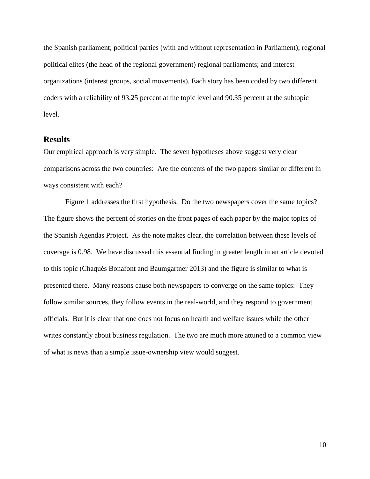the Spanish parliament; political parties (with and without representation in Parliament); regional political elites (the head of the regional government) regional parliaments; and interest organizations (interest groups, social movements). Each story has been coded by two different coders with a reliability of 93.25 percent at the topic level and 90.35 percent at the subtopic level.

### **Results**

Our empirical approach is very simple. The seven hypotheses above suggest very clear comparisons across the two countries: Are the contents of the two papers similar or different in ways consistent with each?

Figure 1 addresses the first hypothesis. Do the two newspapers cover the same topics? The figure shows the percent of stories on the front pages of each paper by the major topics of the Spanish Agendas Project. As the note makes clear, the correlation between these levels of coverage is 0.98. We have discussed this essential finding in greater length in an article devoted to this topic (Chaqués Bonafont and Baumgartner 2013) and the figure is similar to what is presented there. Many reasons cause both newspapers to converge on the same topics: They follow similar sources, they follow events in the real-world, and they respond to government officials. But it is clear that one does not focus on health and welfare issues while the other writes constantly about business regulation. The two are much more attuned to a common view of what is news than a simple issue-ownership view would suggest.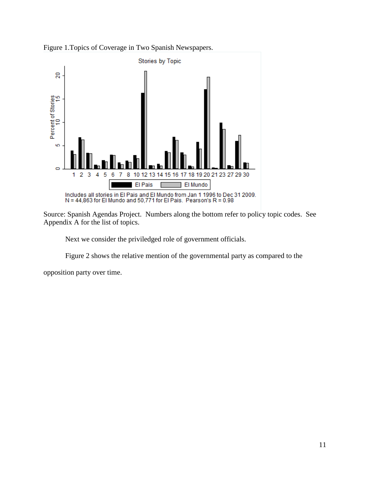



Source: Spanish Agendas Project. Numbers along the bottom refer to policy topic codes. See Appendix A for the list of topics.

Next we consider the priviledged role of government officials.

Figure 2 shows the relative mention of the governmental party as compared to the

opposition party over time.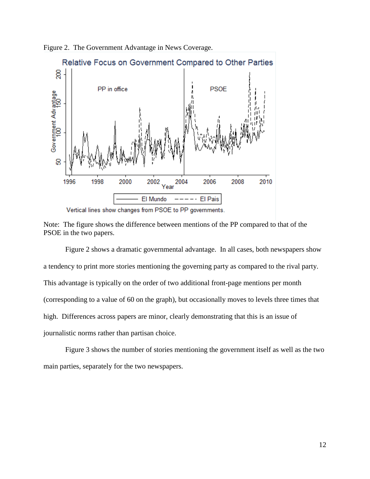

Figure 2. The Government Advantage in News Coverage.





Figure 2 shows a dramatic governmental advantage. In all cases, both newspapers show a tendency to print more stories mentioning the governing party as compared to the rival party. This advantage is typically on the order of two additional front-page mentions per month (corresponding to a value of 60 on the graph), but occasionally moves to levels three times that high. Differences across papers are minor, clearly demonstrating that this is an issue of journalistic norms rather than partisan choice.

Figure 3 shows the number of stories mentioning the government itself as well as the two main parties, separately for the two newspapers.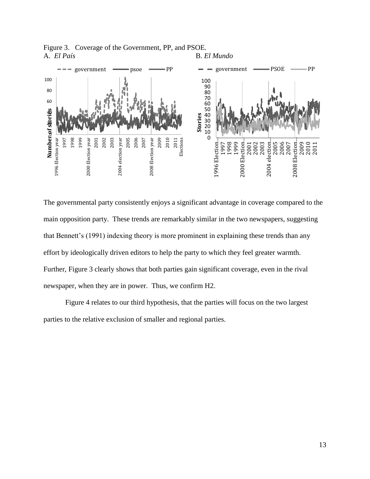

Figure 3. Coverage of the Government, PP, and PSOE. A. *El País* B. *El Mundo*

The governmental party consistently enjoys a significant advantage in coverage compared to the main opposition party. These trends are remarkably similar in the two newspapers, suggesting that Bennett's (1991) indexing theory is more prominent in explaining these trends than any effort by ideologically driven editors to help the party to which they feel greater warmth. Further, Figure 3 clearly shows that both parties gain significant coverage, even in the rival newspaper, when they are in power. Thus, we confirm H2.

Figure 4 relates to our third hypothesis, that the parties will focus on the two largest parties to the relative exclusion of smaller and regional parties.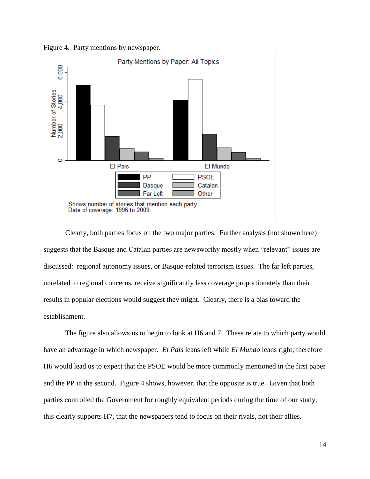Figure 4. Party mentions by newspaper.



Clearly, both parties focus on the two major parties. Further analysis (not shown here) suggests that the Basque and Catalan parties are newsworthy mostly when "relevant" issues are discussed: regional autonomy issues, or Basque-related terrorism issues. The far left parties, unrelated to regional concerns, receive significantly less coverage proportionately than their results in popular elections would suggest they might. Clearly, there is a bias toward the establishment.

The figure also allows us to begin to look at H6 and 7. These relate to which party would have an advantage in which newspaper. *El País* leans left while *El Mundo* leans right; therefore H6 would lead us to expect that the PSOE would be more commonly mentioned in the first paper and the PP in the second. Figure 4 shows, however, that the opposite is true. Given that both parties controlled the Government for roughly equivalent periods during the time of our study, this clearly supports H7, that the newspapers tend to focus on their rivals, not their allies.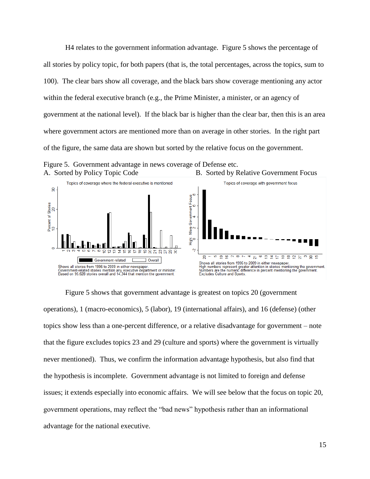H4 relates to the government information advantage. Figure 5 shows the percentage of all stories by policy topic, for both papers (that is, the total percentages, across the topics, sum to 100). The clear bars show all coverage, and the black bars show coverage mentioning any actor within the federal executive branch (e.g., the Prime Minister, a minister, or an agency of government at the national level). If the black bar is higher than the clear bar, then this is an area where government actors are mentioned more than on average in other stories. In the right part of the figure, the same data are shown but sorted by the relative focus on the government.



Figure 5. Government advantage in news coverage of Defense etc.

Figure 5 shows that government advantage is greatest on topics 20 (government operations), 1 (macro-economics), 5 (labor), 19 (international affairs), and 16 (defense) (other topics show less than a one-percent difference, or a relative disadvantage for government – note that the figure excludes topics 23 and 29 (culture and sports) where the government is virtually never mentioned). Thus, we confirm the information advantage hypothesis, but also find that the hypothesis is incomplete. Government advantage is not limited to foreign and defense issues; it extends especially into economic affairs. We will see below that the focus on topic 20, government operations, may reflect the "bad news" hypothesis rather than an informational advantage for the national executive.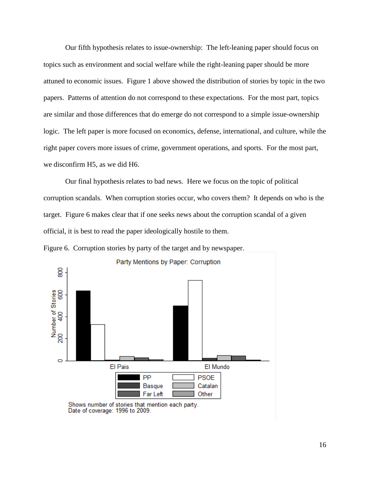Our fifth hypothesis relates to issue-ownership: The left-leaning paper should focus on topics such as environment and social welfare while the right-leaning paper should be more attuned to economic issues. Figure 1 above showed the distribution of stories by topic in the two papers. Patterns of attention do not correspond to these expectations. For the most part, topics are similar and those differences that do emerge do not correspond to a simple issue-ownership logic. The left paper is more focused on economics, defense, international, and culture, while the right paper covers more issues of crime, government operations, and sports. For the most part, we disconfirm H5, as we did H6.

Our final hypothesis relates to bad news. Here we focus on the topic of political corruption scandals. When corruption stories occur, who covers them? It depends on who is the target. Figure 6 makes clear that if one seeks news about the corruption scandal of a given official, it is best to read the paper ideologically hostile to them.





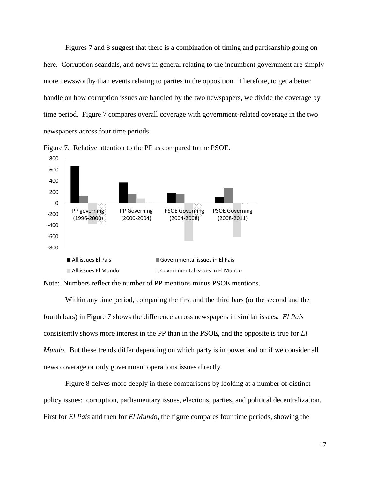Figures 7 and 8 suggest that there is a combination of timing and partisanship going on here. Corruption scandals, and news in general relating to the incumbent government are simply more newsworthy than events relating to parties in the opposition. Therefore, to get a better handle on how corruption issues are handled by the two newspapers, we divide the coverage by time period. Figure 7 compares overall coverage with government-related coverage in the two newspapers across four time periods.



Figure 7. Relative attention to the PP as compared to the PSOE.

Note: Numbers reflect the number of PP mentions minus PSOE mentions.

Within any time period, comparing the first and the third bars (or the second and the fourth bars) in Figure 7 shows the difference across newspapers in similar issues. *El País* consistently shows more interest in the PP than in the PSOE, and the opposite is true for *El Mundo*. But these trends differ depending on which party is in power and on if we consider all news coverage or only government operations issues directly.

Figure 8 delves more deeply in these comparisons by looking at a number of distinct policy issues: corruption, parliamentary issues, elections, parties, and political decentralization. First for *El País* and then for *El Mundo*, the figure compares four time periods, showing the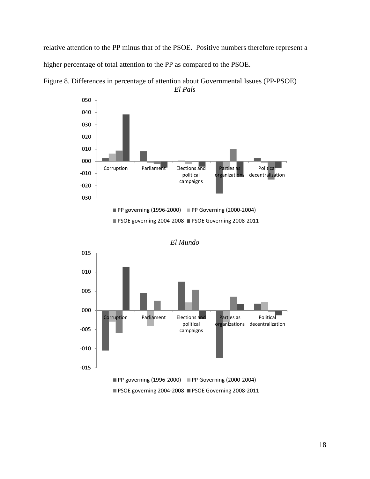relative attention to the PP minus that of the PSOE. Positive numbers therefore represent a higher percentage of total attention to the PP as compared to the PSOE.



Figure 8. Differences in percentage of attention about Governmental Issues (PP-PSOE) *El País*

PSOE governing 2004-2008 PSOE Governing 2008-2011



*El Mundo*

**PSOE governing 2004-2008 PSOE Governing 2008-2011**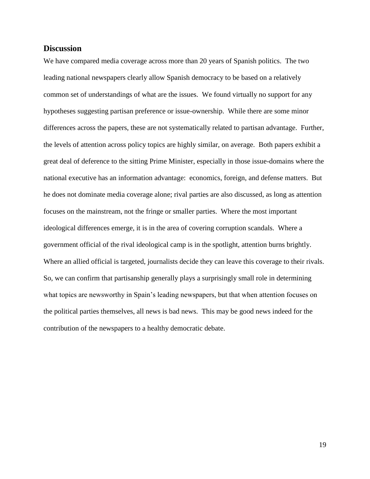### **Discussion**

We have compared media coverage across more than 20 years of Spanish politics. The two leading national newspapers clearly allow Spanish democracy to be based on a relatively common set of understandings of what are the issues. We found virtually no support for any hypotheses suggesting partisan preference or issue-ownership. While there are some minor differences across the papers, these are not systematically related to partisan advantage. Further, the levels of attention across policy topics are highly similar, on average. Both papers exhibit a great deal of deference to the sitting Prime Minister, especially in those issue-domains where the national executive has an information advantage: economics, foreign, and defense matters. But he does not dominate media coverage alone; rival parties are also discussed, as long as attention focuses on the mainstream, not the fringe or smaller parties. Where the most important ideological differences emerge, it is in the area of covering corruption scandals. Where a government official of the rival ideological camp is in the spotlight, attention burns brightly. Where an allied official is targeted, journalists decide they can leave this coverage to their rivals. So, we can confirm that partisanship generally plays a surprisingly small role in determining what topics are newsworthy in Spain's leading newspapers, but that when attention focuses on the political parties themselves, all news is bad news. This may be good news indeed for the contribution of the newspapers to a healthy democratic debate.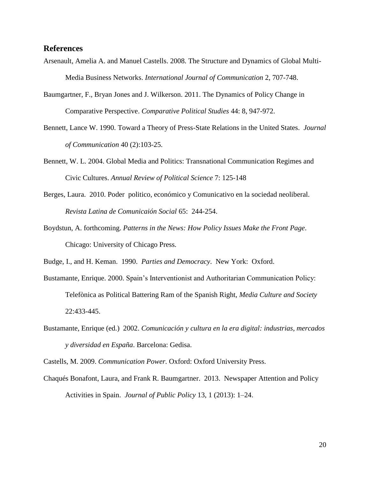#### **References**

- Arsenault, Amelia A. and Manuel Castells. 2008. The Structure and Dynamics of Global Multi-Media Business Networks. *International Journal of Communication* 2, 707-748.
- Baumgartner, F., Bryan Jones and J. Wilkerson. 2011. The Dynamics of Policy Change in Comparative Perspective. *Comparative Political Studies* 44: 8, 947-972.
- Bennett, Lance W. 1990. Toward a Theory of Press-State Relations in the United States. *Journal of Communication* 40 (2):103-25.
- Bennett, W. L. 2004. Global Media and Politics: Transnational Communication Regimes and Civic Cultures. *Annual Review of Political Science* 7: 125-148
- Berges, Laura. 2010. Poder politico, económico y Comunicativo en la sociedad neoliberal. *Revista Latina de Comunicaión Social* 65: 244-254.
- Boydstun, A. forthcoming. *Patterns in the News: How Policy Issues Make the Front Page*. Chicago: University of Chicago Press.

Budge, I., and H. Keman. 1990. *Parties and Democracy*. New York: Oxford.

- Bustamante, Enrique. 2000. Spain's Interventionist and Authoritarian Communication Policy: Telefònica as Political Battering Ram of the Spanish Right, *Media Culture and Society* 22:433-445.
- Bustamante, Enrique (ed.) 2002. *Comunicación y cultura en la era digital: industrias, mercados y diversidad en España*. Barcelona: Gedisa.

Castells, M. 2009. *Communication Power.* Oxford: Oxford University Press.

Chaqués Bonafont, Laura, and Frank R. Baumgartner. 2013. Newspaper Attention and Policy Activities in Spain. *Journal of Public Policy* 13, 1 (2013): 1–24.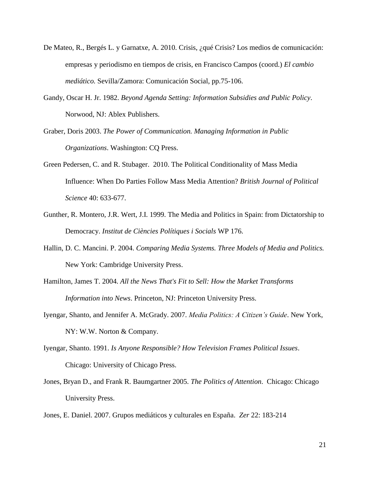- De Mateo, R., Bergés L. y Garnatxe, A. 2010. Crisis, ¿qué Crisis? Los medios de comunicación: empresas y periodismo en tiempos de crisis, en Francisco Campos (coord.) *El cambio mediático.* Sevilla/Zamora: Comunicación Social, pp.75-106.
- Gandy, Oscar H. Jr. 1982. *Beyond Agenda Setting: Information Subsidies and Public Policy*. Norwood, NJ: Ablex Publishers.
- Graber, Doris 2003. *The Power of Communication. Managing Information in Public Organizations*. Washington: CQ Press.
- Green Pedersen, C. and R. Stubager. 2010. The Political Conditionality of Mass Media Influence: When Do Parties Follow Mass Media Attention? *British Journal of Political Science* 40: 633-677.
- Gunther, R. Montero, J.R. Wert, J.I. 1999. The Media and Politics in Spain: from Dictatorship to Democracy. *Institut de Ciències Polítiques i Socials* WP 176.
- Hallin, D. C. Mancini. P. 2004. *Comparing Media Systems. Three Models of Media and Politics.* New York: Cambridge University Press.
- Hamilton, James T. 2004. *All the News That's Fit to Sell: How the Market Transforms Information into News*. Princeton, NJ: Princeton University Press.
- Iyengar, Shanto, and Jennifer A. McGrady. 2007. *Media Politics: A Citizen's Guide*. New York, NY: W.W. Norton & Company.
- Iyengar, Shanto. 1991. *Is Anyone Responsible? How Television Frames Political Issues*. Chicago: University of Chicago Press.
- Jones, Bryan D., and Frank R. Baumgartner 2005. *The Politics of Attention*. Chicago: Chicago University Press.
- Jones, E. Daniel. 2007. Grupos mediáticos y culturales en España. *Zer* 22: 183-214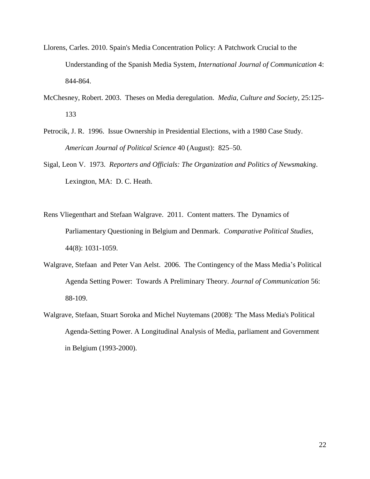- Llorens, Carles. 2010. Spain's Media Concentration Policy: A Patchwork Crucial to the Understanding of the Spanish Media System, *International Journal of Communication* 4: 844-864.
- McChesney, Robert. 2003. Theses on Media deregulation. *Media, Culture and Society*, 25:125- 133
- Petrocik, J. R. 1996. Issue Ownership in Presidential Elections, with a 1980 Case Study. *American Journal of Political Science* 40 (August): 825–50.
- Sigal, Leon V. 1973. *Reporters and Officials: The Organization and Politics of Newsmaking*. Lexington, MA: D. C. Heath.
- Rens Vliegenthart and Stefaan Walgrave. 2011. Content matters. The Dynamics of Parliamentary Questioning in Belgium and Denmark. *Comparative Political Studies*, 44(8): 1031-1059.
- Walgrave, Stefaan and Peter Van Aelst. 2006. The Contingency of the Mass Media's Political Agenda Setting Power: Towards A Preliminary Theory. *Journal of Communication* 56: 88-109.
- Walgrave, Stefaan, Stuart Soroka and Michel Nuytemans (2008): 'The Mass Media's Political Agenda-Setting Power. A Longitudinal Analysis of Media, parliament and Government in Belgium (1993-2000).